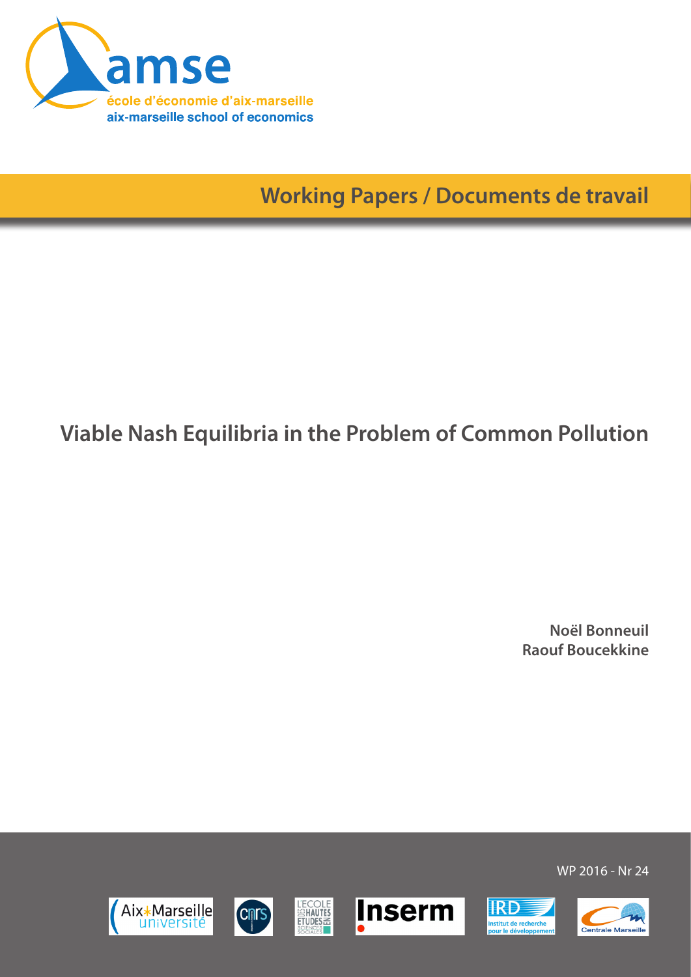

**Working Papers / Documents de travail**

# **Viable Nash Equilibria in the Problem of Common Pollution**

**Noël Bonneuil Raouf Boucekkine**













WP 2016 - Nr 24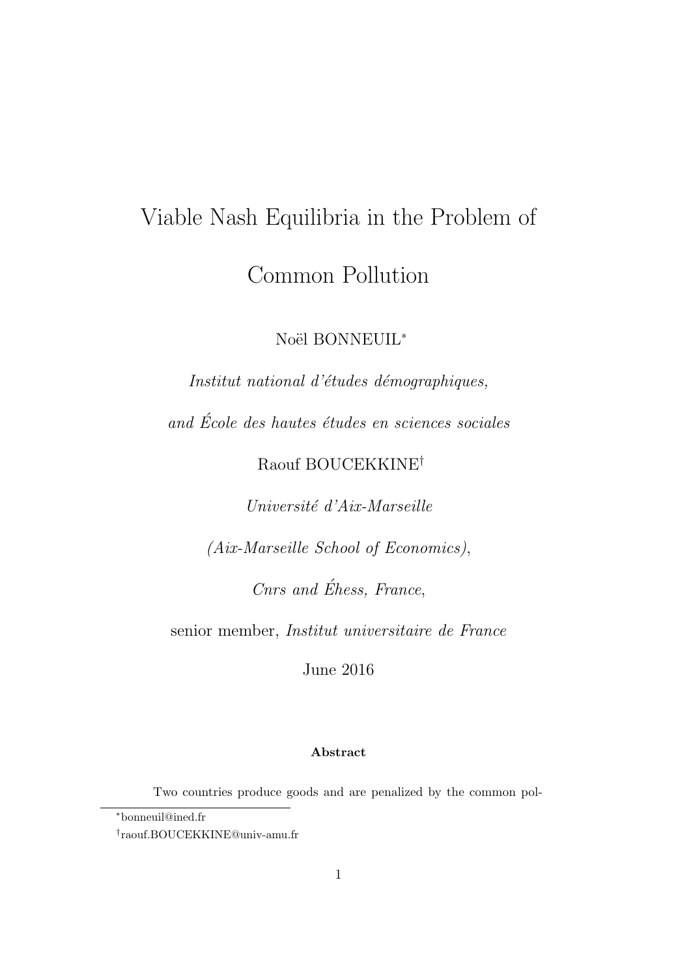# Viable Nash Equilibria in the Problem of Common Pollution

Noël BONNEUIL<sup>\*</sup>

Institut national d'études démographiques,

and  $\acute{E}cole$  des hautes études en sciences sociales

Raouf BOUCEKKINE†

Université d'Aix-Marseille

(Aix-Marseille School of Economics),

Cnrs and Éhess, France,

senior member, Institut universitaire de France

June 2016

#### Abstract

Two countries produce goods and are penalized by the common pol-

<sup>∗</sup>bonneuil@ined.fr

<sup>†</sup> raouf.BOUCEKKINE@univ-amu.fr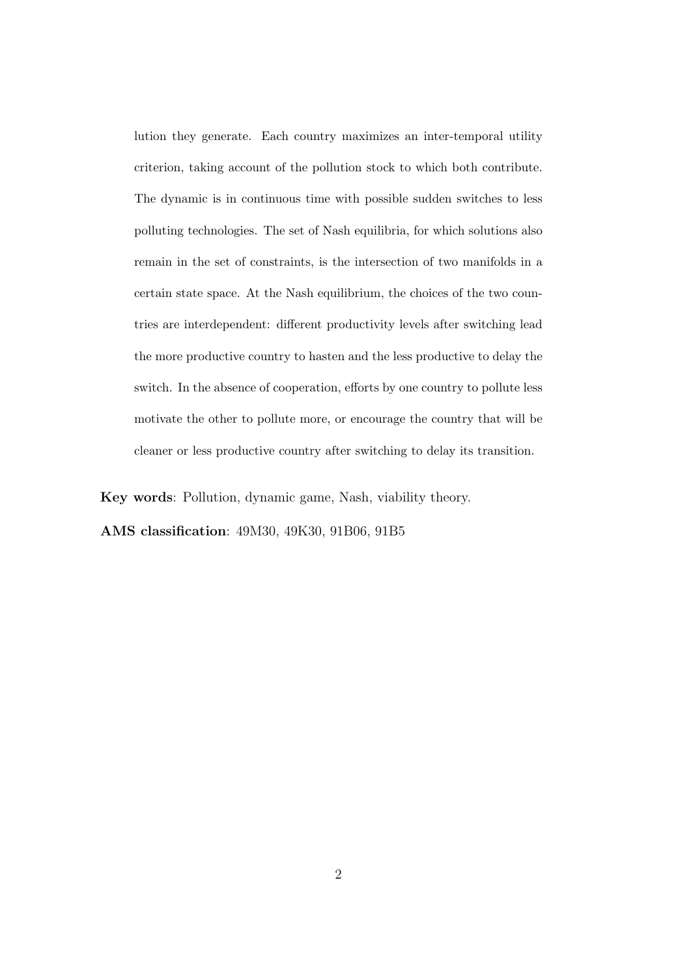lution they generate. Each country maximizes an inter-temporal utility criterion, taking account of the pollution stock to which both contribute. The dynamic is in continuous time with possible sudden switches to less polluting technologies. The set of Nash equilibria, for which solutions also remain in the set of constraints, is the intersection of two manifolds in a certain state space. At the Nash equilibrium, the choices of the two countries are interdependent: different productivity levels after switching lead the more productive country to hasten and the less productive to delay the switch. In the absence of cooperation, efforts by one country to pollute less motivate the other to pollute more, or encourage the country that will be cleaner or less productive country after switching to delay its transition.

Key words: Pollution, dynamic game, Nash, viability theory.

AMS classification: 49M30, 49K30, 91B06, 91B5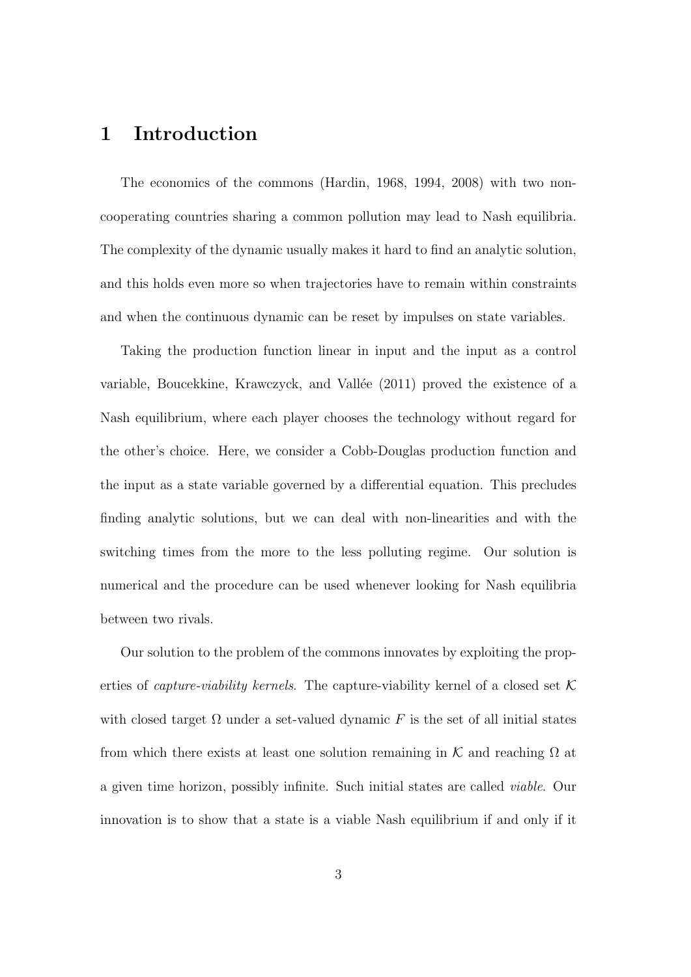### 1 Introduction

The economics of the commons (Hardin, 1968, 1994, 2008) with two noncooperating countries sharing a common pollution may lead to Nash equilibria. The complexity of the dynamic usually makes it hard to find an analytic solution, and this holds even more so when trajectories have to remain within constraints and when the continuous dynamic can be reset by impulses on state variables.

Taking the production function linear in input and the input as a control variable, Boucekkine, Krawczyck, and Vallée (2011) proved the existence of a Nash equilibrium, where each player chooses the technology without regard for the other's choice. Here, we consider a Cobb-Douglas production function and the input as a state variable governed by a differential equation. This precludes finding analytic solutions, but we can deal with non-linearities and with the switching times from the more to the less polluting regime. Our solution is numerical and the procedure can be used whenever looking for Nash equilibria between two rivals.

Our solution to the problem of the commons innovates by exploiting the properties of *capture-viability kernels*. The capture-viability kernel of a closed set  $K$ with closed target  $\Omega$  under a set-valued dynamic F is the set of all initial states from which there exists at least one solution remaining in K and reaching  $\Omega$  at a given time horizon, possibly infinite. Such initial states are called viable. Our innovation is to show that a state is a viable Nash equilibrium if and only if it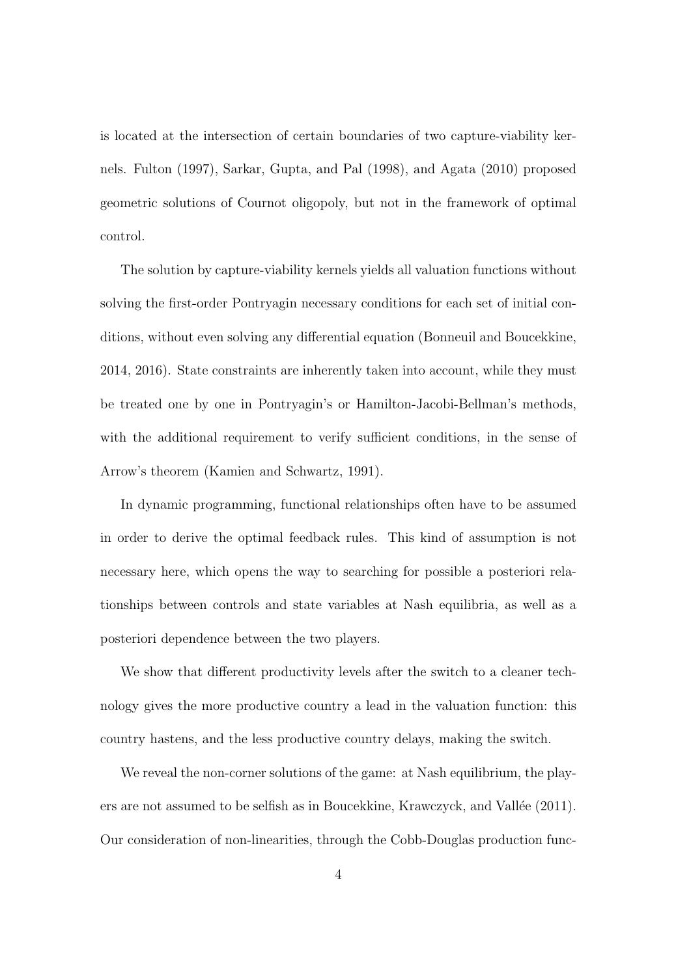is located at the intersection of certain boundaries of two capture-viability kernels. Fulton (1997), Sarkar, Gupta, and Pal (1998), and Agata (2010) proposed geometric solutions of Cournot oligopoly, but not in the framework of optimal control.

The solution by capture-viability kernels yields all valuation functions without solving the first-order Pontryagin necessary conditions for each set of initial conditions, without even solving any differential equation (Bonneuil and Boucekkine, 2014, 2016). State constraints are inherently taken into account, while they must be treated one by one in Pontryagin's or Hamilton-Jacobi-Bellman's methods, with the additional requirement to verify sufficient conditions, in the sense of Arrow's theorem (Kamien and Schwartz, 1991).

In dynamic programming, functional relationships often have to be assumed in order to derive the optimal feedback rules. This kind of assumption is not necessary here, which opens the way to searching for possible a posteriori relationships between controls and state variables at Nash equilibria, as well as a posteriori dependence between the two players.

We show that different productivity levels after the switch to a cleaner technology gives the more productive country a lead in the valuation function: this country hastens, and the less productive country delays, making the switch.

We reveal the non-corner solutions of the game: at Nash equilibrium, the players are not assumed to be selfish as in Boucekkine, Krawczyck, and Vallée  $(2011)$ . Our consideration of non-linearities, through the Cobb-Douglas production func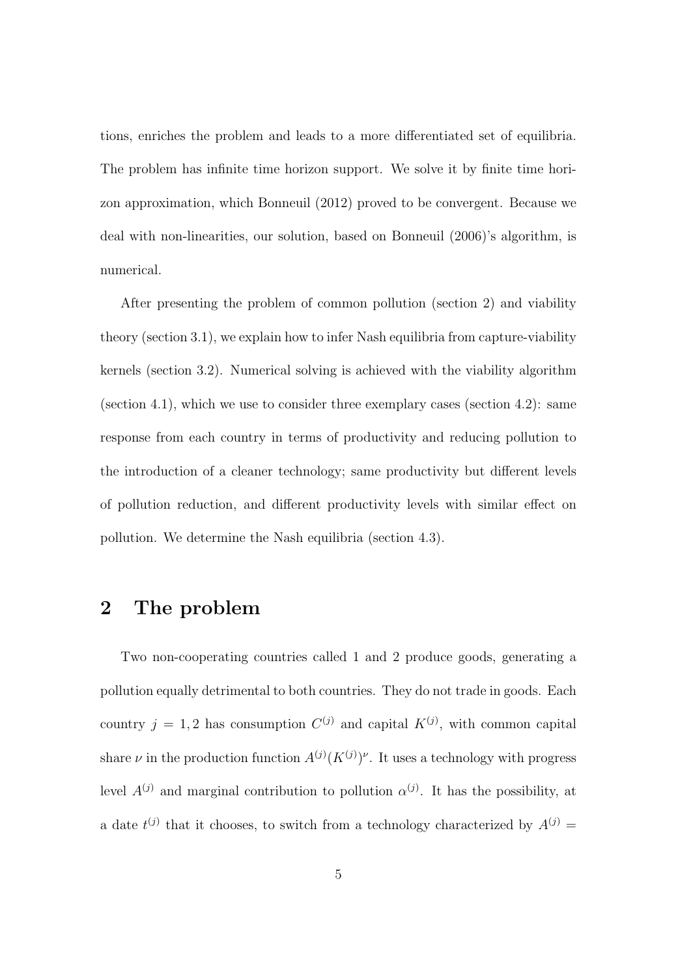tions, enriches the problem and leads to a more differentiated set of equilibria. The problem has infinite time horizon support. We solve it by finite time horizon approximation, which Bonneuil (2012) proved to be convergent. Because we deal with non-linearities, our solution, based on Bonneuil (2006)'s algorithm, is numerical.

After presenting the problem of common pollution (section 2) and viability theory (section 3.1), we explain how to infer Nash equilibria from capture-viability kernels (section 3.2). Numerical solving is achieved with the viability algorithm (section 4.1), which we use to consider three exemplary cases (section 4.2): same response from each country in terms of productivity and reducing pollution to the introduction of a cleaner technology; same productivity but different levels of pollution reduction, and different productivity levels with similar effect on pollution. We determine the Nash equilibria (section 4.3).

# 2 The problem

Two non-cooperating countries called 1 and 2 produce goods, generating a pollution equally detrimental to both countries. They do not trade in goods. Each country  $j = 1, 2$  has consumption  $C^{(j)}$  and capital  $K^{(j)}$ , with common capital share  $\nu$  in the production function  $A^{(j)}(K^{(j)})^{\nu}$ . It uses a technology with progress level  $A^{(j)}$  and marginal contribution to pollution  $\alpha^{(j)}$ . It has the possibility, at a date  $t^{(j)}$  that it chooses, to switch from a technology characterized by  $A^{(j)} =$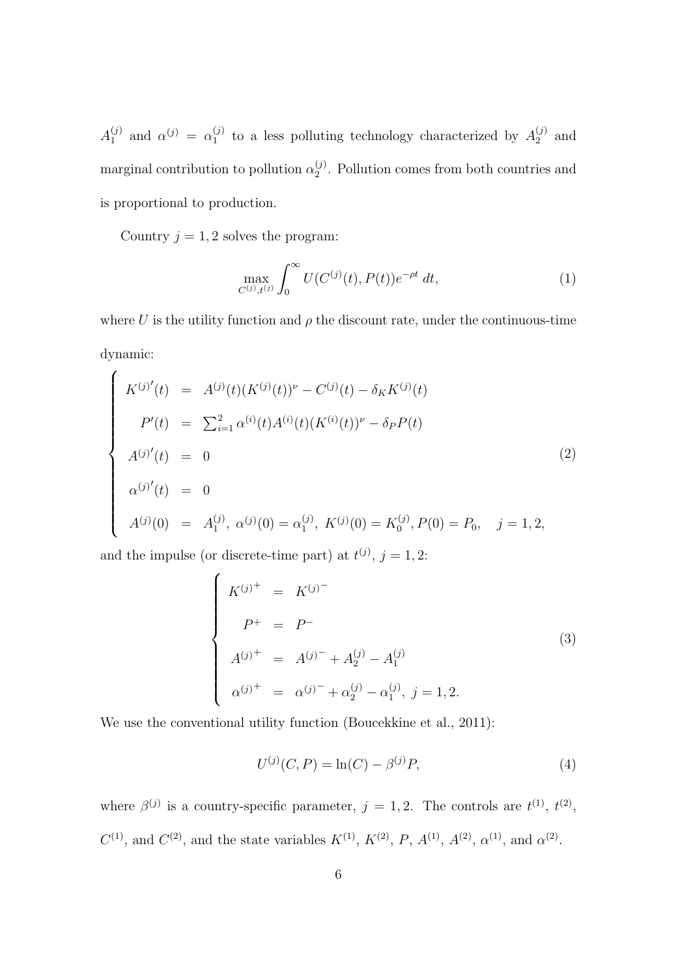$A_1^{(j)}$  $\alpha^{(j)}$  and  $\alpha^{(j)} = \alpha_1^{(j)}$  $_1^{(j)}$  to a less polluting technology characterized by  $A_2^{(j)}$  $2^{(j)}$  and marginal contribution to pollution  $\alpha_2^{(j)}$  $2^{\prime\prime}$ . Pollution comes from both countries and is proportional to production.

Country  $j = 1, 2$  solves the program:

$$
\max_{C^{(j)}, t^{(j)}} \int_0^\infty U(C^{(j)}(t), P(t)) e^{-\rho t} \, dt,\tag{1}
$$

where U is the utility function and  $\rho$  the discount rate, under the continuous-time dynamic:

$$
\begin{cases}\nK^{(j)'}(t) = A^{(j)}(t)(K^{(j)}(t))^{\nu} - C^{(j)}(t) - \delta_K K^{(j)}(t) \\
P'(t) = \sum_{i=1}^{2} \alpha^{(i)}(t) A^{(i)}(t)(K^{(i)}(t))^{\nu} - \delta_P P(t) \\
A^{(j)'}(t) = 0 \\
\alpha^{(j)'}(t) = 0 \\
A^{(j)}(0) = A_1^{(j)}, \ \alpha^{(j)}(0) = \alpha_1^{(j)}, \ K^{(j)}(0) = K_0^{(j)}, P(0) = P_0, \quad j = 1, 2,\n\end{cases}
$$
\n(2)

and the impulse (or discrete-time part) at  $t^{(j)}$ ,  $j = 1, 2$ :

$$
\begin{cases}\nK^{(j)^{+}} = K^{(j)^{-}} \\
P^{+} = P^{-} \\
A^{(j)^{+}} = A^{(j)^{-}} + A^{(j)}_{2} - A^{(j)}_{1} \\
\alpha^{(j)^{+}} = \alpha^{(j)^{-}} + \alpha^{(j)}_{2} - \alpha^{(j)}_{1}, \ j = 1, 2.\n\end{cases}
$$
\n(3)

We use the conventional utility function (Boucekkine et al., 2011):

$$
U^{(j)}(C, P) = \ln(C) - \beta^{(j)}P,\tag{4}
$$

where  $\beta^{(j)}$  is a country-specific parameter,  $j = 1, 2$ . The controls are  $t^{(1)}$ ,  $t^{(2)}$ ,  $C^{(1)}$ , and  $C^{(2)}$ , and the state variables  $K^{(1)}$ ,  $K^{(2)}$ ,  $P$ ,  $A^{(1)}$ ,  $A^{(2)}$ ,  $\alpha^{(1)}$ , and  $\alpha^{(2)}$ .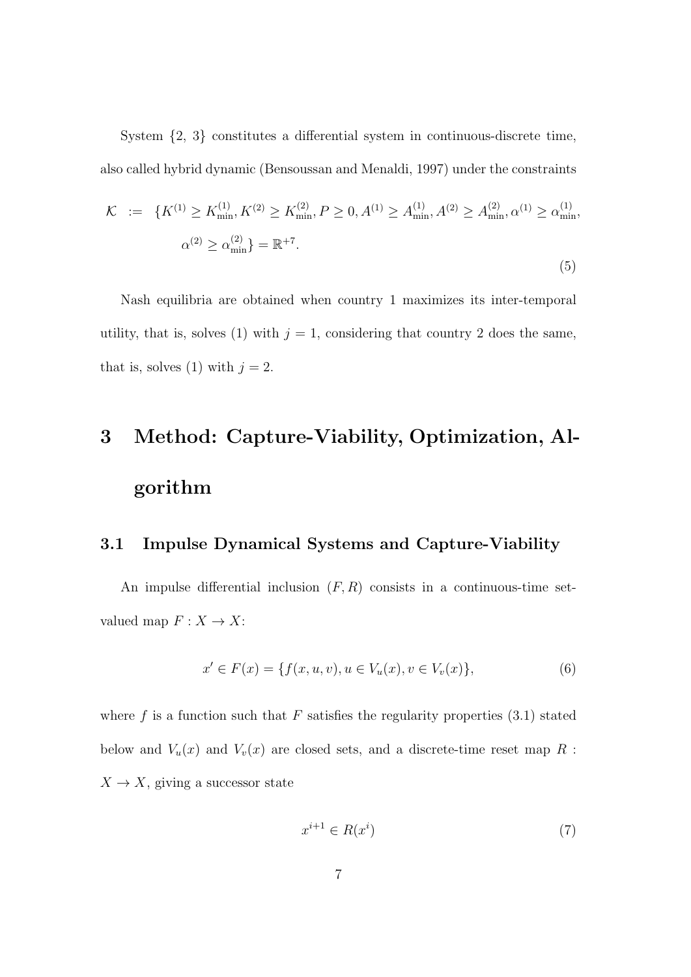System {2, 3} constitutes a differential system in continuous-discrete time, also called hybrid dynamic (Bensoussan and Menaldi, 1997) under the constraints

$$
\mathcal{K} := \{ K^{(1)} \ge K_{\min}^{(1)}, K^{(2)} \ge K_{\min}^{(2)}, P \ge 0, A^{(1)} \ge A_{\min}^{(1)}, A^{(2)} \ge A_{\min}^{(2)}, \alpha^{(1)} \ge \alpha_{\min}^{(1)},
$$
  

$$
\alpha^{(2)} \ge \alpha_{\min}^{(2)} \} = \mathbb{R}^{+7}.
$$
  
(5)

Nash equilibria are obtained when country 1 maximizes its inter-temporal utility, that is, solves (1) with  $j = 1$ , considering that country 2 does the same, that is, solves (1) with  $j = 2$ .

# 3 Method: Capture-Viability, Optimization, Algorithm

#### 3.1 Impulse Dynamical Systems and Capture-Viability

An impulse differential inclusion  $(F, R)$  consists in a continuous-time setvalued map  $F: X \to X$ :

$$
x' \in F(x) = \{ f(x, u, v), u \in V_u(x), v \in V_v(x) \},\tag{6}
$$

where f is a function such that  $F$  satisfies the regularity properties  $(3.1)$  stated below and  $V_u(x)$  and  $V_v(x)$  are closed sets, and a discrete-time reset map R :  $X \to X$ , giving a successor state

$$
x^{i+1} \in R(x^i) \tag{7}
$$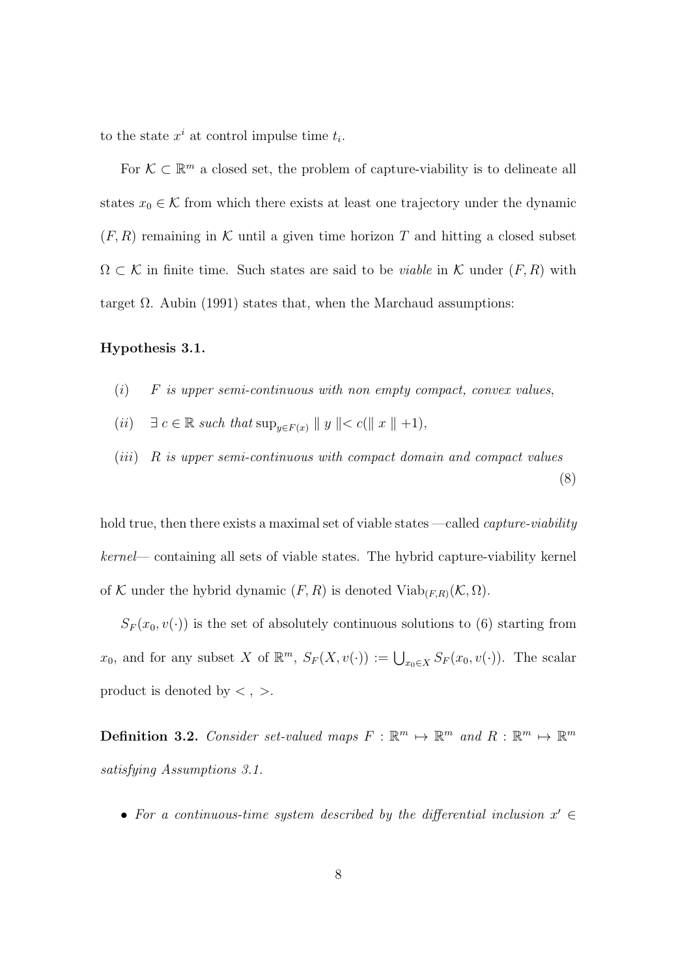to the state  $x^i$  at control impulse time  $t_i$ .

For  $K \subset \mathbb{R}^m$  a closed set, the problem of capture-viability is to delineate all states  $x_0 \in \mathcal{K}$  from which there exists at least one trajectory under the dynamic  $(F, R)$  remaining in K until a given time horizon T and hitting a closed subset  $\Omega \subset \mathcal{K}$  in finite time. Such states are said to be *viable* in  $\mathcal{K}$  under  $(F, R)$  with target  $\Omega$ . Aubin (1991) states that, when the Marchaud assumptions:

#### Hypothesis 3.1.

- $(i)$  F is upper semi-continuous with non empty compact, convex values,
- (ii)  $\exists c \in \mathbb{R}$  such that  $\sup_{y \in F(x)} ||y|| < c(||x|| +1),$
- (iii) R is upper semi-continuous with compact domain and compact values (8)

hold true, then there exists a maximal set of viable states —called *capture-viability* kernel— containing all sets of viable states. The hybrid capture-viability kernel of K under the hybrid dynamic  $(F, R)$  is denoted  $\text{Viab}_{(F,R)}(\mathcal{K}, \Omega)$ .

 $S_F(x_0, v(\cdot))$  is the set of absolutely continuous solutions to (6) starting from  $x_0$ , and for any subset X of  $\mathbb{R}^m$ ,  $S_F(X, v(\cdot)) := \bigcup_{x_0 \in X} S_F(x_0, v(\cdot))$ . The scalar product is denoted by  $\lt$ ,  $>$ .

**Definition 3.2.** Consider set-valued maps  $F : \mathbb{R}^m \mapsto \mathbb{R}^m$  and  $R : \mathbb{R}^m \mapsto \mathbb{R}^m$ satisfying Assumptions 3.1.

• For a continuous-time system described by the differential inclusion  $x' \in$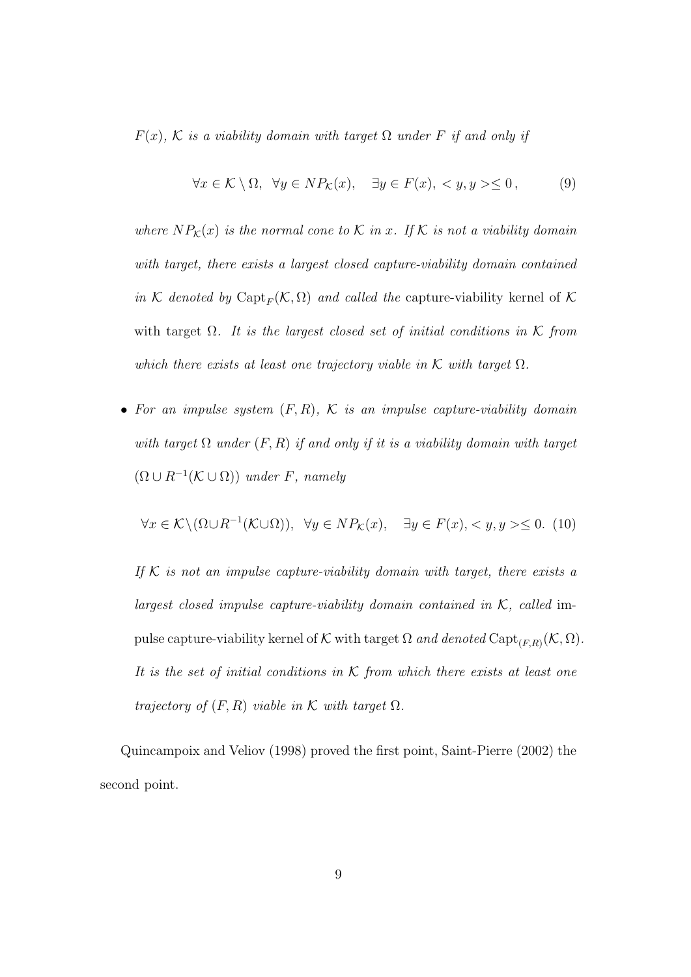$F(x)$ , K is a viability domain with target  $\Omega$  under F if and only if

$$
\forall x \in \mathcal{K} \setminus \Omega, \ \forall y \in NP_{\mathcal{K}}(x), \ \exists y \in F(x), \langle y, y \rangle \le 0, \tag{9}
$$

where  $NP_{\mathcal{K}}(x)$  is the normal cone to  $\mathcal K$  in x. If  $\mathcal K$  is not a viability domain with target, there exists a largest closed capture-viability domain contained in K denoted by Capt<sub>F</sub> $(K, \Omega)$  and called the capture-viability kernel of K with target  $\Omega$ . It is the largest closed set of initial conditions in K from which there exists at least one trajectory viable in  $K$  with target  $\Omega$ .

• For an impulse system  $(F, R)$ ,  $K$  is an impulse capture-viability domain with target  $\Omega$  under  $(F, R)$  if and only if it is a viability domain with target  $(\Omega \cup R^{-1}(\mathcal{K} \cup \Omega))$  under F, namely

$$
\forall x \in \mathcal{K} \setminus (\Omega \cup R^{-1}(\mathcal{K} \cup \Omega)), \ \forall y \in NP_{\mathcal{K}}(x), \ \exists y \in F(x), \langle y, y \rangle \le 0. \tag{10}
$$

If  $K$  is not an impulse capture-viability domain with target, there exists a largest closed impulse capture-viability domain contained in  $K$ , called impulse capture-viability kernel of K with target  $\Omega$  and denoted  $\mathrm{Capt}_{(F,R)}(\mathcal{K},\Omega)$ . It is the set of initial conditions in  $K$  from which there exists at least one trajectory of  $(F, R)$  viable in K with target  $\Omega$ .

Quincampoix and Veliov (1998) proved the first point, Saint-Pierre (2002) the second point.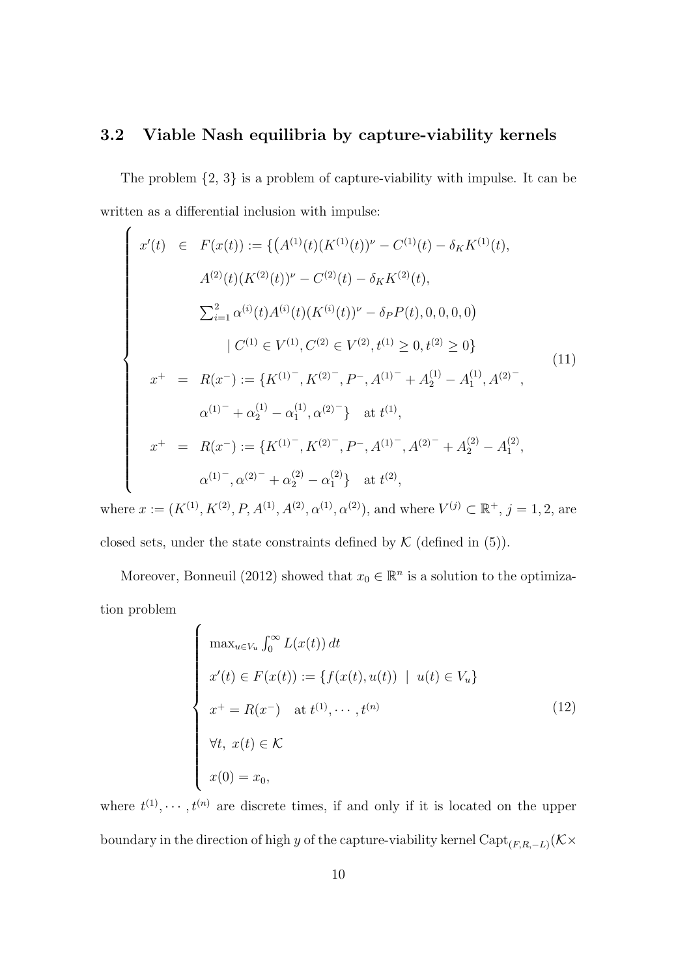#### 3.2 Viable Nash equilibria by capture-viability kernels

The problem  $\{2, 3\}$  is a problem of capture-viability with impulse. It can be written as a differential inclusion with impulse:

$$
\begin{cases}\nx'(t) \in F(x(t)) := \{ (A^{(1)}(t)(K^{(1)}(t))^{\nu} - C^{(1)}(t) - \delta_K K^{(1)}(t), \\
A^{(2)}(t)(K^{(2)}(t))^{\nu} - C^{(2)}(t) - \delta_K K^{(2)}(t), \\
\sum_{i=1}^{2} \alpha^{(i)}(t) A^{(i)}(t)(K^{(i)}(t))^{\nu} - \delta_P P(t), 0, 0, 0, 0) \\
\mid C^{(1)} \in V^{(1)}, C^{(2)} \in V^{(2)}, t^{(1)} \ge 0, t^{(2)} \ge 0 \} \\
x^{+} = R(x^{-}) := \{ K^{(1)^{-}}, K^{(2)^{-}}, P^{-}, A^{(1)^{-}} + A^{(1)}_{2} - A^{(1)}_{1}, A^{(2)^{-}}, \\
\alpha^{(1)^{-}} + \alpha^{(1)}_{2} - \alpha^{(1)}_{1}, \alpha^{(2)^{-}} \} \text{ at } t^{(1)}, \\
x^{+} = R(x^{-}) := \{ K^{(1)^{-}}, K^{(2)^{-}}, P^{-}, A^{(1)^{-}}, A^{(2)^{-}} + A^{(2)}_{2} - A^{(2)}_{1}, \\
\alpha^{(1)^{-}}, \alpha^{(2)^{-}} + \alpha^{(2)}_{2} - \alpha^{(2)}_{1} \} \text{ at } t^{(2)},\n\end{cases} (11)
$$

where  $x := (K^{(1)}, K^{(2)}, P, A^{(1)}, A^{(2)}, \alpha^{(1)}, \alpha^{(2)})$ , and where  $V^{(j)} \subset \mathbb{R}^+, j = 1, 2$ , are closed sets, under the state constraints defined by  $K$  (defined in (5)).

Moreover, Bonneuil (2012) showed that  $x_0 \in \mathbb{R}^n$  is a solution to the optimization problem

$$
\begin{cases}\n\max_{u \in V_u} \int_0^\infty L(x(t)) dt \\
x'(t) \in F(x(t)) := \{f(x(t), u(t)) \mid u(t) \in V_u\} \\
x^+ = R(x^-) \quad \text{at } t^{(1)}, \dots, t^{(n)} \\
\forall t, \ x(t) \in \mathcal{K} \\
x(0) = x_0,\n\end{cases}
$$
\n(12)

where  $t^{(1)}, \dots, t^{(n)}$  are discrete times, if and only if it is located on the upper boundary in the direction of high y of the capture-viability kernel  $\mathrm{Capt}_{(F,R,-L)}(\mathcal{K}\times\mathcal{K})$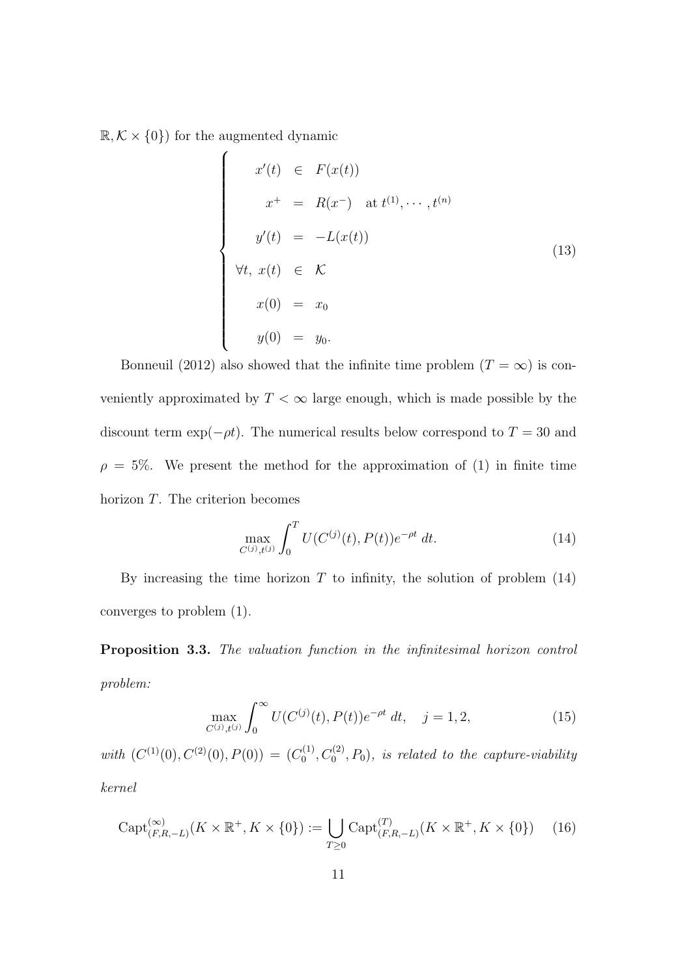$\mathbb{R}, \mathcal{K} \times \{0\}$  for the augmented dynamic

$$
x'(t) \in F(x(t))
$$
  
\n
$$
x^+ = R(x^-) \text{ at } t^{(1)}, \dots, t^{(n)}
$$
  
\n
$$
y'(t) = -L(x(t))
$$
  
\n
$$
\forall t, x(t) \in \mathcal{K}
$$
  
\n
$$
x(0) = x_0
$$
  
\n
$$
y(0) = y_0.
$$
  
\n(13)

Bonneuil (2012) also showed that the infinite time problem ( $T = \infty$ ) is conveniently approximated by  $T < \infty$  large enough, which is made possible by the discount term  $\exp(-\rho t)$ . The numerical results below correspond to  $T = 30$  and  $\rho = 5\%$ . We present the method for the approximation of (1) in finite time horizon T. The criterion becomes

$$
\max_{C^{(j)}, t^{(j)}} \int_0^T U(C^{(j)}(t), P(t))e^{-\rho t} dt.
$$
 (14)

By increasing the time horizon  $T$  to infinity, the solution of problem  $(14)$ converges to problem (1).

Proposition 3.3. The valuation function in the infinitesimal horizon control problem:

$$
\max_{C^{(j)}, t^{(j)}} \int_0^\infty U(C^{(j)}(t), P(t)) e^{-\rho t} \, dt, \quad j = 1, 2,\tag{15}
$$

with  $(C^{(1)}(0), C^{(2)}(0), P(0)) = (C_0^{(1)}$  $\mathcal{O}_0^{(1)}, \mathcal{O}_0^{(2)}, P_0$ ), is related to the capture-viability kernel

$$
\operatorname{Capt}_{(F,R,-L)}^{(\infty)}(K \times \mathbb{R}^+, K \times \{0\}) := \bigcup_{T \ge 0} \operatorname{Capt}_{(F,R,-L)}^{(T)}(K \times \mathbb{R}^+, K \times \{0\}) \tag{16}
$$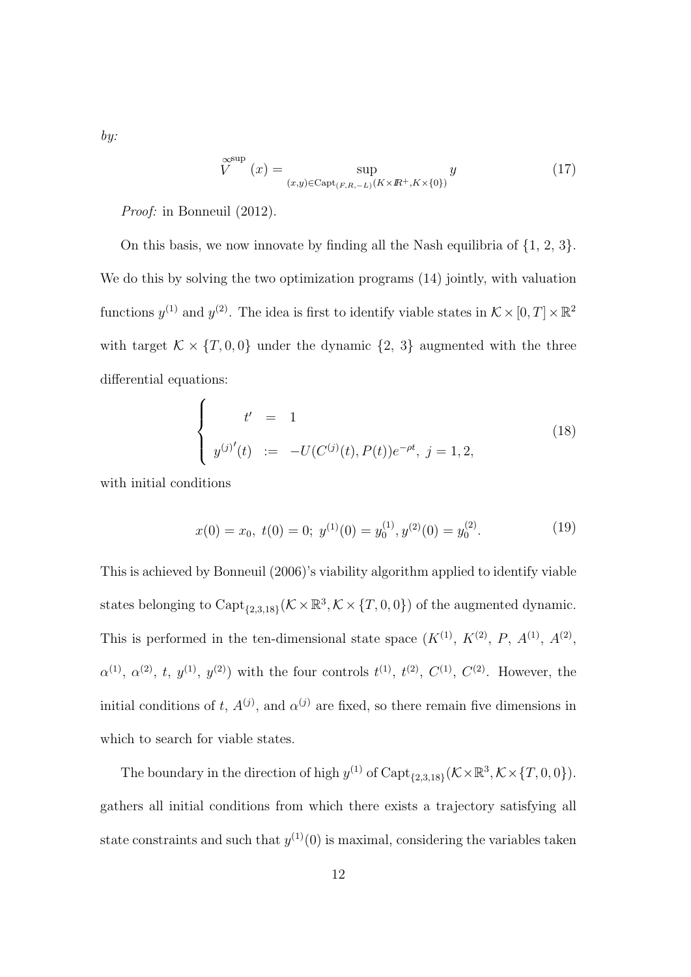$$
\widetilde{V}^{\text{sup}}(x) = \sup_{(x,y)\in \text{Capt}_{(F,R,-L)}(K\times\mathbb{R}^+, K\times\{0\})} y
$$
(17)

Proof: in Bonneuil (2012).

On this basis, we now innovate by finding all the Nash equilibria of  $\{1, 2, 3\}$ . We do this by solving the two optimization programs  $(14)$  jointly, with valuation functions  $y^{(1)}$  and  $y^{(2)}$ . The idea is first to identify viable states in  $\mathcal{K} \times [0, T] \times \mathbb{R}^2$ with target  $\mathcal{K} \times \{T, 0, 0\}$  under the dynamic  $\{2, 3\}$  augmented with the three differential equations:

$$
\begin{cases}\n t' = 1 \\
 y^{(j)'}(t) := -U(C^{(j)}(t), P(t))e^{-\rho t}, j = 1, 2,\n\end{cases}
$$
\n(18)

with initial conditions

$$
x(0) = x_0, \ t(0) = 0; \ y^{(1)}(0) = y_0^{(1)}, \ y^{(2)}(0) = y_0^{(2)}.
$$
 (19)

This is achieved by Bonneuil (2006)'s viability algorithm applied to identify viable states belonging to Capt<sub>{2,3,18}</sub> ( $K \times \mathbb{R}^3$ ,  $K \times \{T, 0, 0\}$ ) of the augmented dynamic. This is performed in the ten-dimensional state space  $(K^{(1)}, K^{(2)}, P, A^{(1)}, A^{(2)}, P)$  $\alpha^{(1)}, \alpha^{(2)}, t, y^{(1)}, y^{(2)}$  with the four controls  $t^{(1)}, t^{(2)}, C^{(1)}, C^{(2)}$ . However, the initial conditions of t,  $A^{(j)}$ , and  $\alpha^{(j)}$  are fixed, so there remain five dimensions in which to search for viable states.

The boundary in the direction of high  $y^{(1)}$  of  $\text{Capt}_{\{2,3,18\}}(\mathcal{K}\times\mathbb{R}^3,\mathcal{K}\times\{T,0,0\}).$ gathers all initial conditions from which there exists a trajectory satisfying all state constraints and such that  $y^{(1)}(0)$  is maximal, considering the variables taken

by: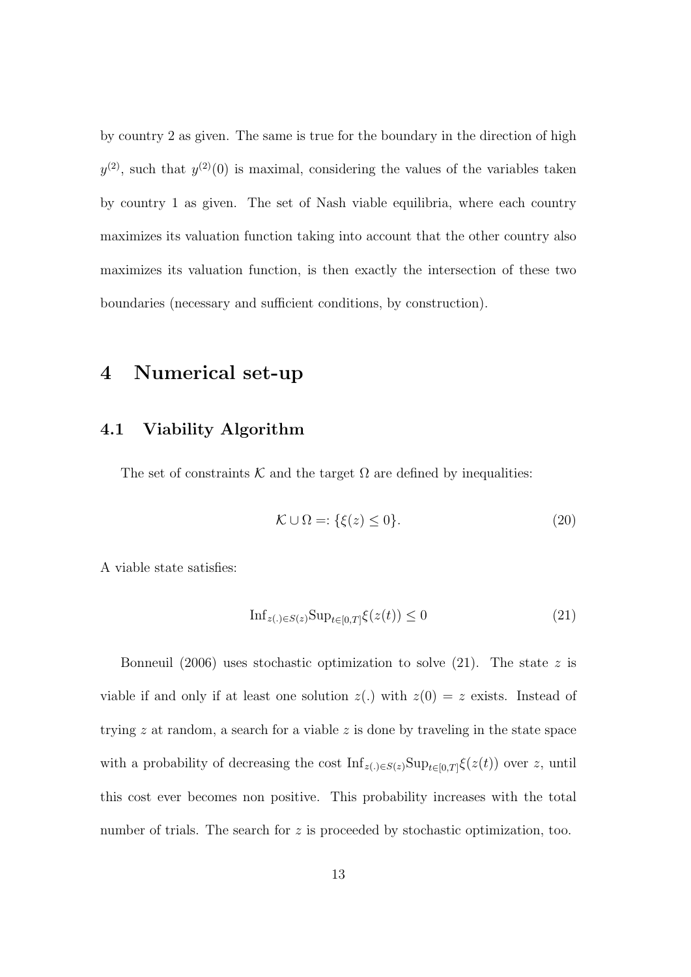by country 2 as given. The same is true for the boundary in the direction of high  $y^{(2)}$ , such that  $y^{(2)}(0)$  is maximal, considering the values of the variables taken by country 1 as given. The set of Nash viable equilibria, where each country maximizes its valuation function taking into account that the other country also maximizes its valuation function, is then exactly the intersection of these two boundaries (necessary and sufficient conditions, by construction).

### 4 Numerical set-up

#### 4.1 Viability Algorithm

The set of constraints K and the target  $\Omega$  are defined by inequalities:

$$
\mathcal{K} \cup \Omega =: \{\xi(z) \le 0\}.\tag{20}
$$

A viable state satisfies:

$$
\mathrm{Inf}_{z(.)\in S(z)} \mathrm{Sup}_{t\in[0,T]}\xi(z(t)) \le 0\tag{21}
$$

Bonneuil (2006) uses stochastic optimization to solve (21). The state z is viable if and only if at least one solution  $z(.)$  with  $z(0) = z$  exists. Instead of trying  $z$  at random, a search for a viable  $z$  is done by traveling in the state space with a probability of decreasing the cost  $\text{Inf}_{z(.)\in S(z)}\text{Sup}_{t\in[0,T]}\xi(z(t))$  over z, until this cost ever becomes non positive. This probability increases with the total number of trials. The search for z is proceeded by stochastic optimization, too.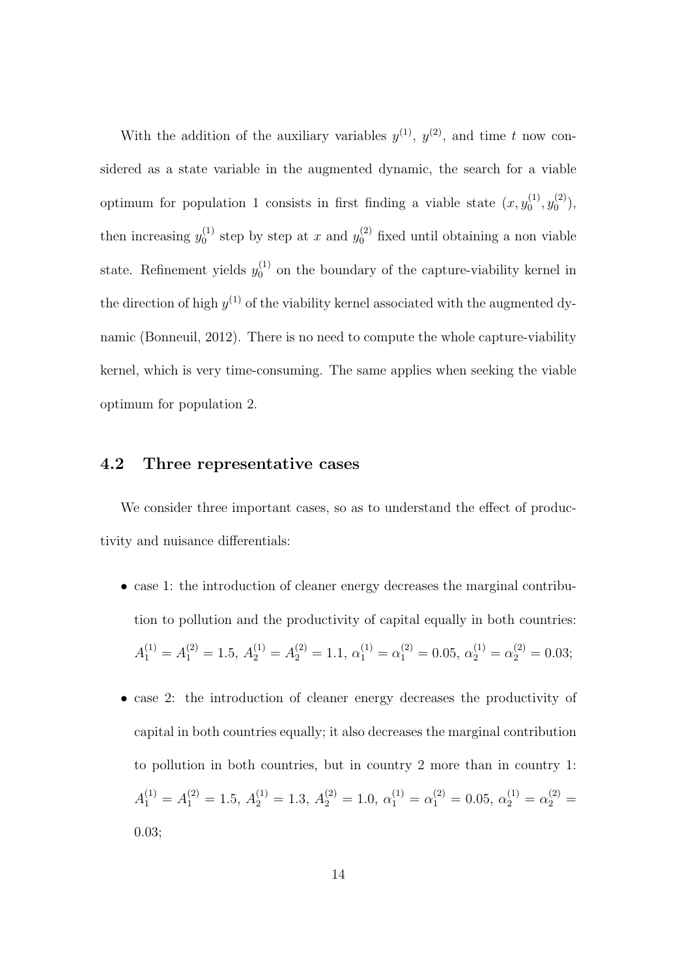With the addition of the auxiliary variables  $y^{(1)}$ ,  $y^{(2)}$ , and time t now considered as a state variable in the augmented dynamic, the search for a viable optimum for population 1 consists in first finding a viable state  $(x, y_0^{(1)})$  $y_0^{(1)}, y_0^{(2)}$  $\binom{2}{0}$ , then increasing  $y_0^{(1)}$  $y_0^{(1)}$  step by step at x and  $y_0^{(2)}$  fixed until obtaining a non viable state. Refinement yields  $y_0^{(1)}$  $_0^{(1)}$  on the boundary of the capture-viability kernel in the direction of high  $y^{(1)}$  of the viability kernel associated with the augmented dynamic (Bonneuil, 2012). There is no need to compute the whole capture-viability kernel, which is very time-consuming. The same applies when seeking the viable optimum for population 2.

#### 4.2 Three representative cases

We consider three important cases, so as to understand the effect of productivity and nuisance differentials:

- case 1: the introduction of cleaner energy decreases the marginal contribution to pollution and the productivity of capital equally in both countries:  $A_1^{(1)} = A_1^{(2)} = 1.5, A_2^{(1)} = A_2^{(2)} = 1.1, \alpha_1^{(1)} = \alpha_1^{(2)} = 0.05, \alpha_2^{(1)} = \alpha_2^{(2)} = 0.03;$
- case 2: the introduction of cleaner energy decreases the productivity of capital in both countries equally; it also decreases the marginal contribution to pollution in both countries, but in country 2 more than in country 1:  $A_1^{(1)} = A_1^{(2)} = 1.5, A_2^{(1)} = 1.3, A_2^{(2)} = 1.0, \alpha_1^{(1)} = \alpha_1^{(2)} = 0.05, \alpha_2^{(1)} = \alpha_2^{(2)} =$ 0.03;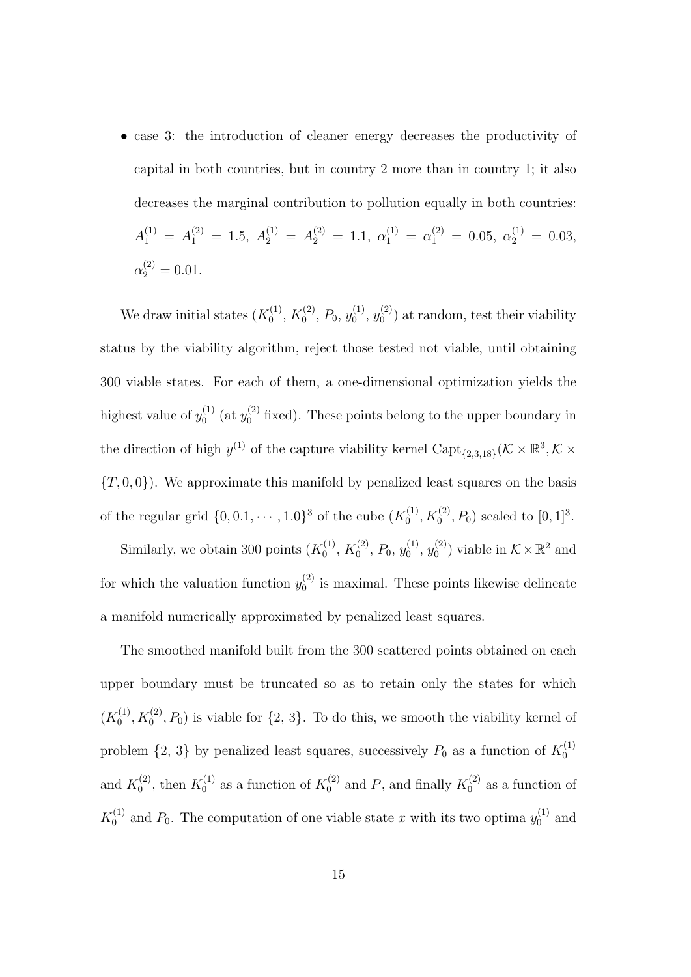• case 3: the introduction of cleaner energy decreases the productivity of capital in both countries, but in country 2 more than in country 1; it also decreases the marginal contribution to pollution equally in both countries:  $A_1^{(1)} = A_1^{(2)} = 1.5, A_2^{(1)} = A_2^{(2)} = 1.1, \alpha_1^{(1)} = \alpha_1^{(2)} = 0.05, \alpha_2^{(1)} = 0.03,$  $\alpha_2^{(2)} = 0.01.$ 

We draw initial states  $(K_0^{(1)})$  $\chi_0^{(1)},\,K_0^{(2)}$  $b_0^{(2)}, P_0, y_0^{(1)}$  $\stackrel{(1)}{0},\stackrel{(2)}{y_0^{(2)}}$  $\binom{1}{0}$  at random, test their viability status by the viability algorithm, reject those tested not viable, until obtaining 300 viable states. For each of them, a one-dimensional optimization yields the highest value of  $y_0^{(1)}$  $\int_0^{(1)}$  (at  $y_0^{(2)}$  fixed). These points belong to the upper boundary in the direction of high  $y^{(1)}$  of the capture viability kernel Capt<sub>{2,3,18}</sub> ( $\mathcal{K} \times \mathbb{R}^3$ ,  $\mathcal{K} \times$  ${T,0,0}$ ). We approximate this manifold by penalized least squares on the basis of the regular grid  $\{0, 0.1, \cdots, 1.0\}^3$  of the cube  $(K_0^{(1)})$  $K_0^{(1)}$ ,  $K_0^{(2)}$ ,  $P_0$ ) scaled to  $[0, 1]^3$ .

Similarly, we obtain 300 points  $(K_0^{(1)})$  $\chi_0^{(1)},\,K_0^{(2)}$  $b_0^{(2)}$ ,  $P_0$ ,  $y_0^{(1)}$  $y_0^{\left(1\right)},\,y_0^{\left(2\right)}$  $\mathcal{O}_0^{(2)}$  viable in  $\mathcal{K} \times \mathbb{R}^2$  and for which the valuation function  $y_0^{(2)}$  $\int_0^{2}$  is maximal. These points likewise delineate a manifold numerically approximated by penalized least squares.

The smoothed manifold built from the 300 scattered points obtained on each upper boundary must be truncated so as to retain only the states for which  $(K_0^{(1)}$  $S_0^{(1)}$ ,  $K_0^{(2)}$ ,  $P_0$ ) is viable for  $\{2, 3\}$ . To do this, we smooth the viability kernel of problem  $\{2, 3\}$  by penalized least squares, successively  $P_0$  as a function of  $K_0^{(1)}$ 0 and  $K_0^{(2)}$  $K_0^{(2)}$ , then  $K_0^{(1)}$  $K_0^{(1)}$  as a function of  $K_0^{(2)}$  $K_0^{(2)}$  and P, and finally  $K_0^{(2)}$  $\binom{1}{0}$  as a function of  $K_0^{(1)}$  $\chi_0^{(1)}$  and  $P_0$ . The computation of one viable state x with its two optima  $y_0^{(1)}$  $v_0^{(1)}$  and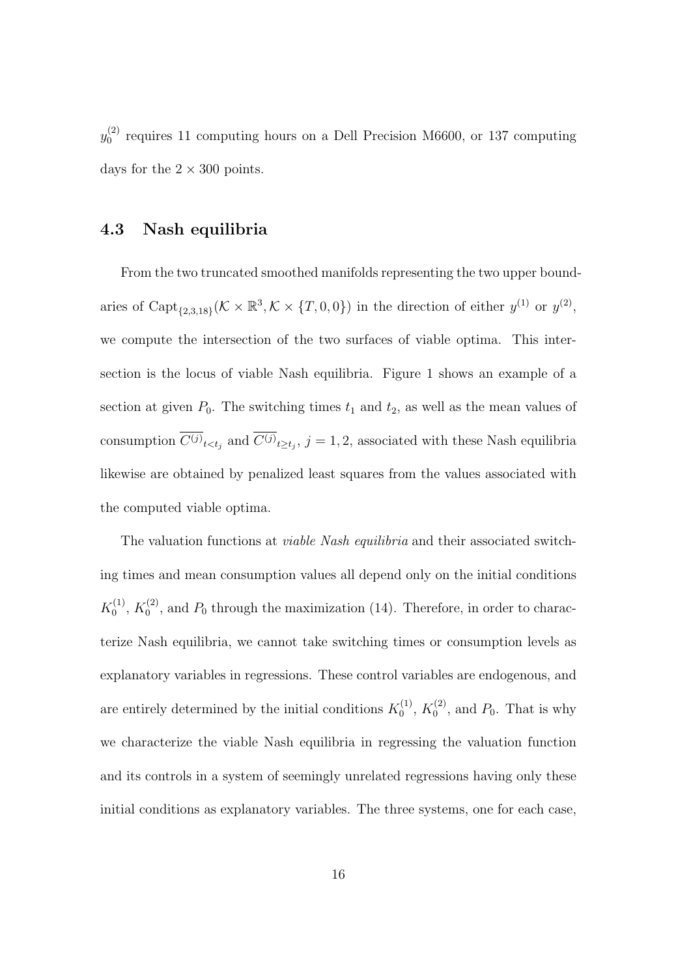$y_{0}^{(2)}$  $_0^{(2)}$  requires 11 computing hours on a Dell Precision M6600, or 137 computing days for the  $2 \times 300$  points.

#### 4.3 Nash equilibria

From the two truncated smoothed manifolds representing the two upper boundaries of Capt<sub>{2,3,18}</sub> ( $\mathcal{K} \times \mathbb{R}^3$ ,  $\mathcal{K} \times \{T,0,0\}$ ) in the direction of either  $y^{(1)}$  or  $y^{(2)}$ , we compute the intersection of the two surfaces of viable optima. This intersection is the locus of viable Nash equilibria. Figure 1 shows an example of a section at given  $P_0$ . The switching times  $t_1$  and  $t_2$ , as well as the mean values of consumption  $C^{(j)}{}_{t and  $C^{(j)}{}_{t\geq t_j}$ ,  $j=1,2$ , associated with these Nash equilibria$ likewise are obtained by penalized least squares from the values associated with the computed viable optima.

The valuation functions at *viable Nash equilibria* and their associated switching times and mean consumption values all depend only on the initial conditions  $K_0^{(1)}$  $\chi_0^{(1)},\,K_0^{(2)}$  $\binom{1}{0}$ , and  $P_0$  through the maximization (14). Therefore, in order to characterize Nash equilibria, we cannot take switching times or consumption levels as explanatory variables in regressions. These control variables are endogenous, and are entirely determined by the initial conditions  $K_0^{(1)}$  $\chi_0^{(1)},\,K_0^{(2)}$  $\int_0^{(2)}$ , and  $P_0$ . That is why we characterize the viable Nash equilibria in regressing the valuation function and its controls in a system of seemingly unrelated regressions having only these initial conditions as explanatory variables. The three systems, one for each case,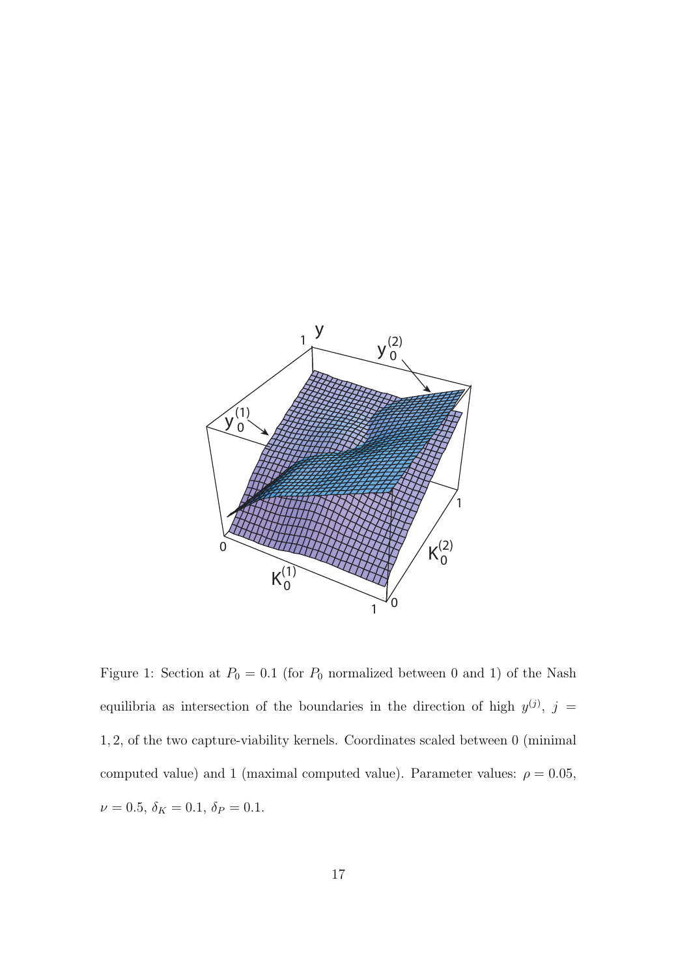

Figure 1: Section at  $P_0 = 0.1$  (for  $P_0$  normalized between 0 and 1) of the Nash equilibria as intersection of the boundaries in the direction of high  $y^{(j)}$ ,  $j =$ 1, 2, of the two capture-viability kernels. Coordinates scaled between 0 (minimal computed value) and 1 (maximal computed value). Parameter values:  $\rho = 0.05$ ,  $\nu = 0.5, \, \delta_K = 0.1, \, \delta_P = 0.1.$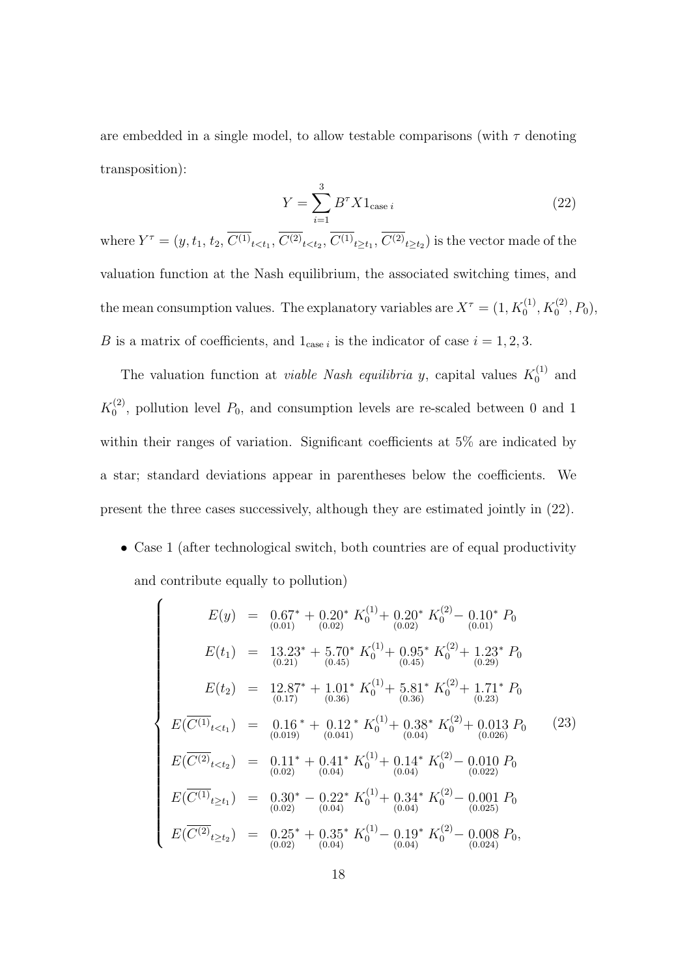are embedded in a single model, to allow testable comparisons (with  $\tau$  denoting transposition):

$$
Y = \sum_{i=1}^{3} B^{\tau} X 1_{\text{case } i}
$$
 (22)

where  $Y^{\tau} = (y, t_1, t_2, C^{(1)}_{t \le t_1}, C^{(2)}_{t \le t_2}, C^{(1)}_{t \ge t_1}, C^{(2)}_{t \ge t_2})$  is the vector made of the valuation function at the Nash equilibrium, the associated switching times, and the mean consumption values. The explanatory variables are  $X^{\tau} = (1, K_0^{(1)}, K_0^{(2)}, P_0)$ , B is a matrix of coefficients, and  $1_{\text{case }i}$  is the indicator of case  $i = 1, 2, 3$ .

The valuation function at *viable Nash equilibria y*, capital values  $K_0^{(1)}$  $\binom{1}{0}$  and  $K_0^{(2)}$  $\binom{1}{0}$ , pollution level  $P_0$ , and consumption levels are re-scaled between 0 and 1 within their ranges of variation. Significant coefficients at 5% are indicated by a star; standard deviations appear in parentheses below the coefficients. We present the three cases successively, although they are estimated jointly in (22).

• Case 1 (after technological switch, both countries are of equal productivity and contribute equally to pollution)

$$
E(y) = 0.67^* + 0.20^* K_0^{(1)} + 0.20^* K_0^{(2)} - 0.10^* P_0
$$
  
\n
$$
E(t_1) = 13.23^* + 5.70^* K_0^{(1)} + 0.95^* K_0^{(2)} + 1.23^* P_0
$$
  
\n
$$
E(t_2) = 12.87^* + 1.01^* K_0^{(1)} + 5.81^* K_0^{(2)} + 1.71^* P_0
$$
  
\n
$$
E(\overline{C^{(1)}}_{t  
\n
$$
E(\overline{C^{(1)}}_{t  
\n
$$
E(\overline{C^{(2)}}_{t  
\n
$$
E(\overline{C^{(1)}}_{t\ge t_1}) = 0.30^* - 0.22^* K_0^{(1)} + 0.34^* K_0^{(2)} - 0.001 P_0
$$
  
\n
$$
E(\overline{C^{(1)}}_{t\ge t_1}) = 0.30^* - 0.22^* K_0^{(1)} + 0.34^* K_0^{(2)} - 0.001 P_0
$$
  
\n
$$
E(\overline{C^{(2)}}_{t\ge t_2}) = 0.25^* + 0.35^* K_0^{(1)} - 0.19^* K_0^{(2)} - 0.008 P_0,
$$
  
\n
$$
E(\overline{C^{(2)}}_{t\ge t_2}) = 0.25^* + 0.35^* K_0^{(1)} - 0.19^* K_0^{(2)} - 0.008 P_0,
$$
$$
$$
$$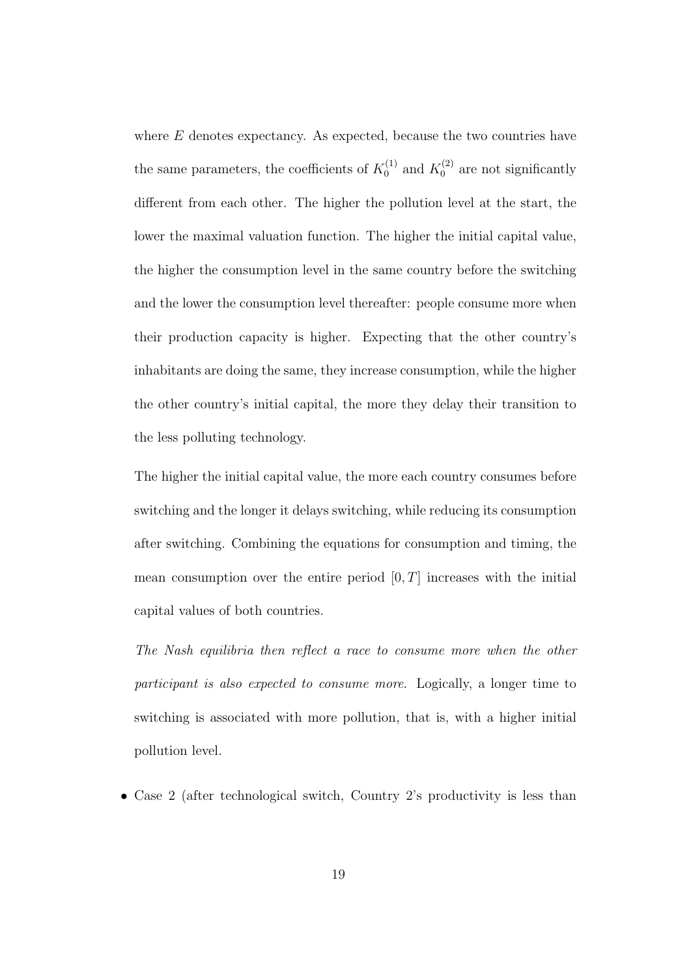where  $E$  denotes expectancy. As expected, because the two countries have the same parameters, the coefficients of  $K_0^{(1)}$  $K_0^{(1)}$  and  $K_0^{(2)}$  $\int_0^{(2)}$  are not significantly different from each other. The higher the pollution level at the start, the lower the maximal valuation function. The higher the initial capital value, the higher the consumption level in the same country before the switching and the lower the consumption level thereafter: people consume more when their production capacity is higher. Expecting that the other country's inhabitants are doing the same, they increase consumption, while the higher the other country's initial capital, the more they delay their transition to the less polluting technology.

The higher the initial capital value, the more each country consumes before switching and the longer it delays switching, while reducing its consumption after switching. Combining the equations for consumption and timing, the mean consumption over the entire period  $[0, T]$  increases with the initial capital values of both countries.

The Nash equilibria then reflect a race to consume more when the other participant is also expected to consume more. Logically, a longer time to switching is associated with more pollution, that is, with a higher initial pollution level.

• Case 2 (after technological switch, Country 2's productivity is less than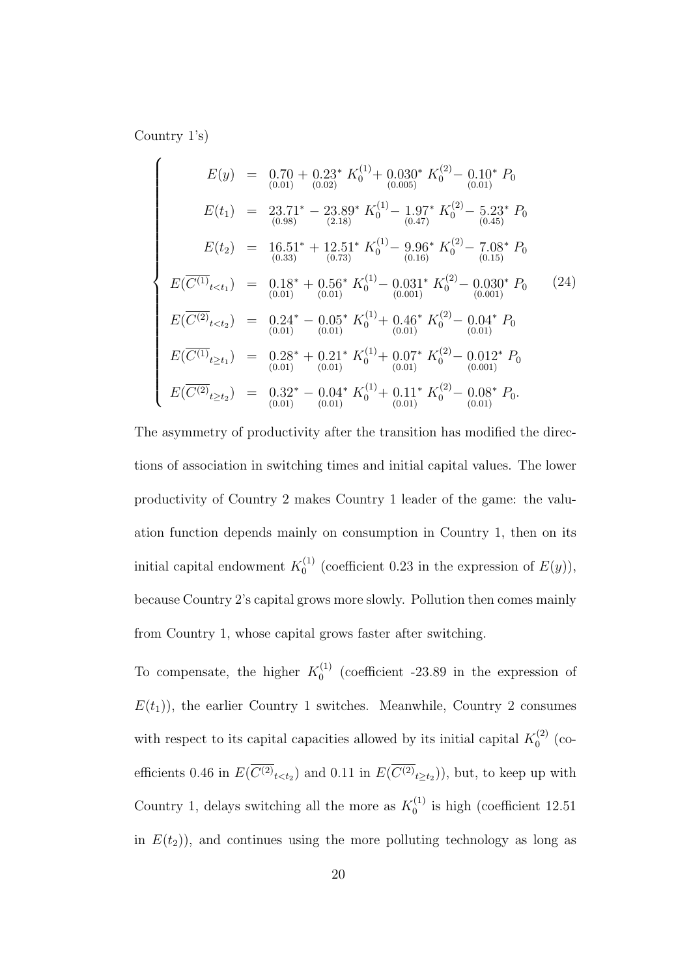Country 1's)

$$
E(y) = 0.70 + 0.23^* K_0^{(1)} + 0.030^* K_0^{(2)} - 0.10^* P_0
$$
  
\n
$$
E(t_1) = 23.71^* - 23.89^* K_0^{(1)} - 1.97^* K_0^{(2)} - 5.23^* P_0
$$
  
\n
$$
E(t_2) = 16.51^* + 12.51^* K_0^{(1)} - 9.96^* K_0^{(2)} - 7.08^* P_0
$$
  
\n
$$
E(\overline{C^{(1)}}_{t  
\n
$$
E(\overline{C^{(1)}}_{t  
\n
$$
E(\overline{C^{(2)}}_{t  
\n
$$
E(\overline{C^{(1)}}_{t\ge t_1}) = 0.28^* + 0.21^* K_0^{(1)} + 0.07^* K_0^{(2)} - 0.012^* P_0
$$
  
\n
$$
E(\overline{C^{(1)}}_{t\ge t_2}) = 0.32^* - 0.04^* K_0^{(1)} + 0.11^* K_0^{(2)} - 0.08^* P_0.
$$
  
\n
$$
E(\overline{C^{(2)}}_{t\ge t_2}) = 0.32^* - 0.04^* K_0^{(1)} + 0.11^* K_0^{(2)} - 0.08^* P_0.
$$
$$
$$
$$

The asymmetry of productivity after the transition has modified the directions of association in switching times and initial capital values. The lower productivity of Country 2 makes Country 1 leader of the game: the valuation function depends mainly on consumption in Country 1, then on its initial capital endowment  $K_0^{(1)}$  $C_0^{(1)}$  (coefficient 0.23 in the expression of  $E(y)$ ), because Country 2's capital grows more slowly. Pollution then comes mainly from Country 1, whose capital grows faster after switching.

To compensate, the higher  $K_0^{(1)}$  $_{0}^{(1)}$  (coefficient -23.89 in the expression of  $E(t_1)$ , the earlier Country 1 switches. Meanwhile, Country 2 consumes with respect to its capital capacities allowed by its initial capital  $K_0^{(2)}$  $0^{(2)}$  (coefficients 0.46 in  $E(C^{(2)}_{{t \lt t_2}})$  and 0.11 in  $E(C^{(2)}_{{t \ge t_2}})$ , but, to keep up with Country 1, delays switching all the more as  $K_0^{(1)}$  $_0^{(1)}$  is high (coefficient 12.51) in  $E(t_2)$ , and continues using the more polluting technology as long as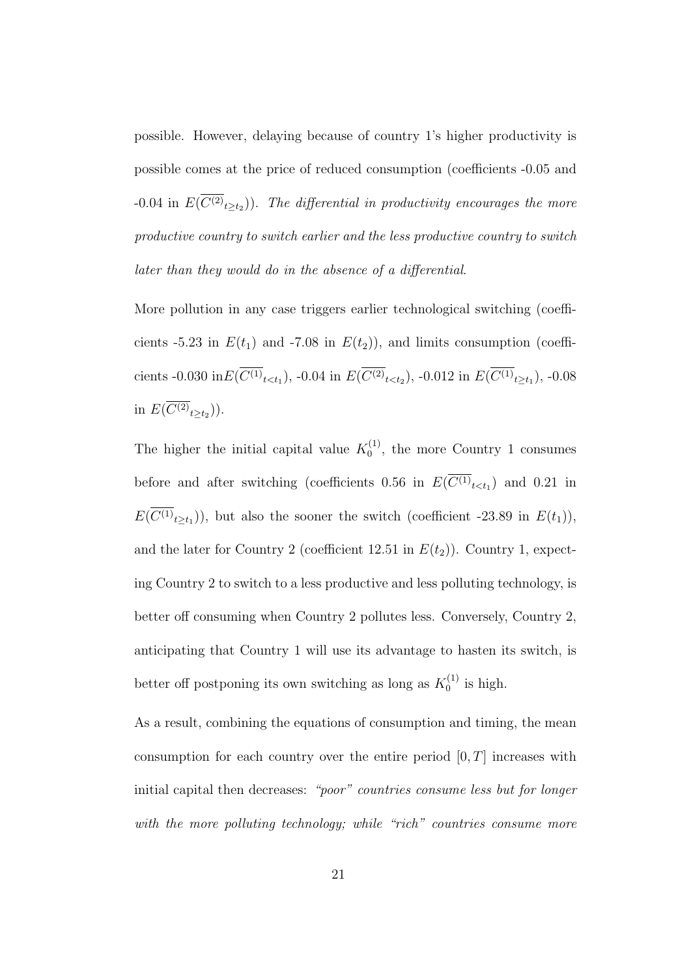possible. However, delaying because of country 1's higher productivity is possible comes at the price of reduced consumption (coefficients -0.05 and  $-0.04$  in  $E(C^{(2)}_{t\geq t_2})$ . The differential in productivity encourages the more productive country to switch earlier and the less productive country to switch later than they would do in the absence of a differential.

More pollution in any case triggers earlier technological switching (coefficients -5.23 in  $E(t_1)$  and -7.08 in  $E(t_2)$ ), and limits consumption (coefficients -0.030 in $E(C^{(1)}{}_{t, -0.04 in  $E(C^{(2)}{}_{t, -0.012 in  $E(C^{(1)}{}_{t\geq t_1})$ , -0.08$$ in  $E(C^{(2)}_{t\geq t_2})$ ).

The higher the initial capital value  $K_0^{(1)}$  $_0^{(1)}$ , the more Country 1 consumes before and after switching (coefficients 0.56 in  $E(C^{(1)}_{t \lt t_1})$  and 0.21 in  $E(C^{(1)}_{t\geq t_1})$ , but also the sooner the switch (coefficient -23.89 in  $E(t_1)$ ), and the later for Country 2 (coefficient 12.51 in  $E(t_2)$ ). Country 1, expecting Country 2 to switch to a less productive and less polluting technology, is better off consuming when Country 2 pollutes less. Conversely, Country 2, anticipating that Country 1 will use its advantage to hasten its switch, is better off postponing its own switching as long as  $K_0^{(1)}$  $\int_0^{(1)}$  is high.

As a result, combining the equations of consumption and timing, the mean consumption for each country over the entire period  $[0, T]$  increases with initial capital then decreases: "poor" countries consume less but for longer with the more polluting technology; while "rich" countries consume more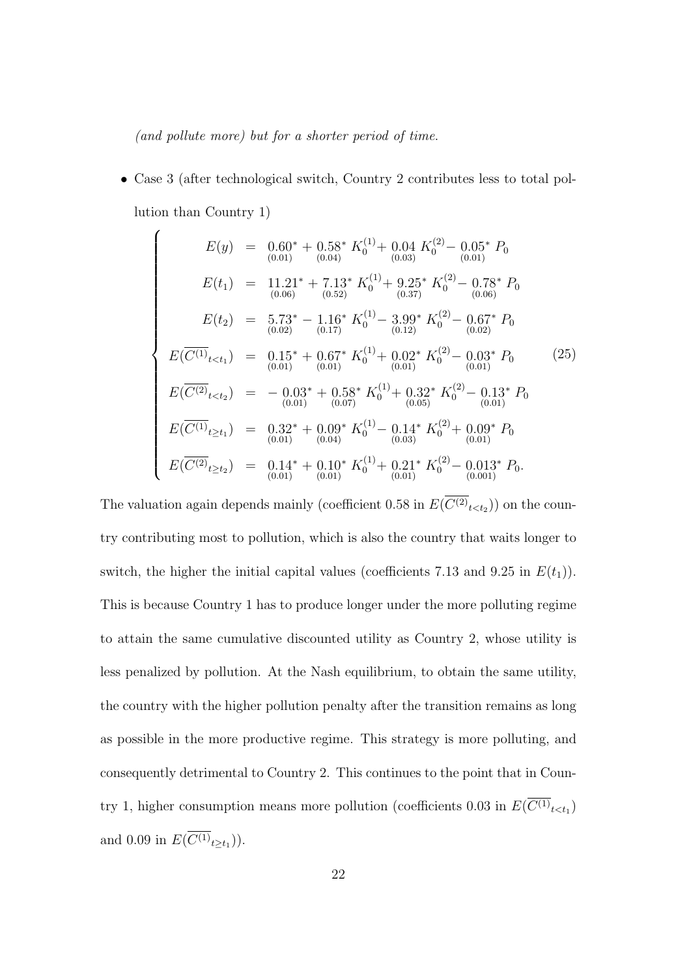(and pollute more) but for a shorter period of time.

• Case 3 (after technological switch, Country 2 contributes less to total pollution than Country 1)

$$
E(y) = 0.60^* + 0.58^* K_0^{(1)} + 0.04 K_0^{(2)} - 0.05^* P_0
$$
  
\n
$$
E(t_1) = 11.21^* + 7.13^* K_0^{(1)} + 9.25^* K_0^{(2)} - 0.78^* P_0
$$
  
\n
$$
E(t_2) = 5.73^* - 1.16^* K_0^{(1)} - 3.99^* K_0^{(2)} - 0.67^* P_0
$$
  
\n
$$
E(t_2) = 5.73^* - 1.16^* K_0^{(1)} - 3.99^* K_0^{(2)} - 0.67^* P_0
$$
  
\n
$$
E(\overline{C^{(1)}}_{t  
\n
$$
E(\overline{C^{(2)}}_{t  
\n
$$
E(\overline{C^{(1)}}_{t\ge t_1}) = 0.32^* + 0.09^* K_0^{(1)} - 0.14^* K_0^{(2)} + 0.09^* P_0
$$
  
\n
$$
E(\overline{C^{(1)}}_{t\ge t_1}) = 0.32^* + 0.09^* K_0^{(1)} - 0.14^* K_0^{(2)} + 0.09^* P_0
$$
  
\n
$$
E(\overline{C^{(2)}}_{t\ge t_2}) = 0.14^* + 0.10^* K_0^{(1)} + 0.21^* K_0^{(2)} - 0.013^* P_0.
$$
$$
$$

The valuation again depends mainly (coefficient 0.58 in  $E(C^{(2)}_{\epsilon < t_2})$ ) on the country contributing most to pollution, which is also the country that waits longer to switch, the higher the initial capital values (coefficients 7.13 and 9.25 in  $E(t_1)$ ). This is because Country 1 has to produce longer under the more polluting regime to attain the same cumulative discounted utility as Country 2, whose utility is less penalized by pollution. At the Nash equilibrium, to obtain the same utility, the country with the higher pollution penalty after the transition remains as long as possible in the more productive regime. This strategy is more polluting, and consequently detrimental to Country 2. This continues to the point that in Country 1, higher consumption means more pollution (coefficients 0.03 in  $E(C^{(1)}_{\epsilon < t_1})$ and 0.09 in  $E(C^{(1)}_{t\geq t_1})$ .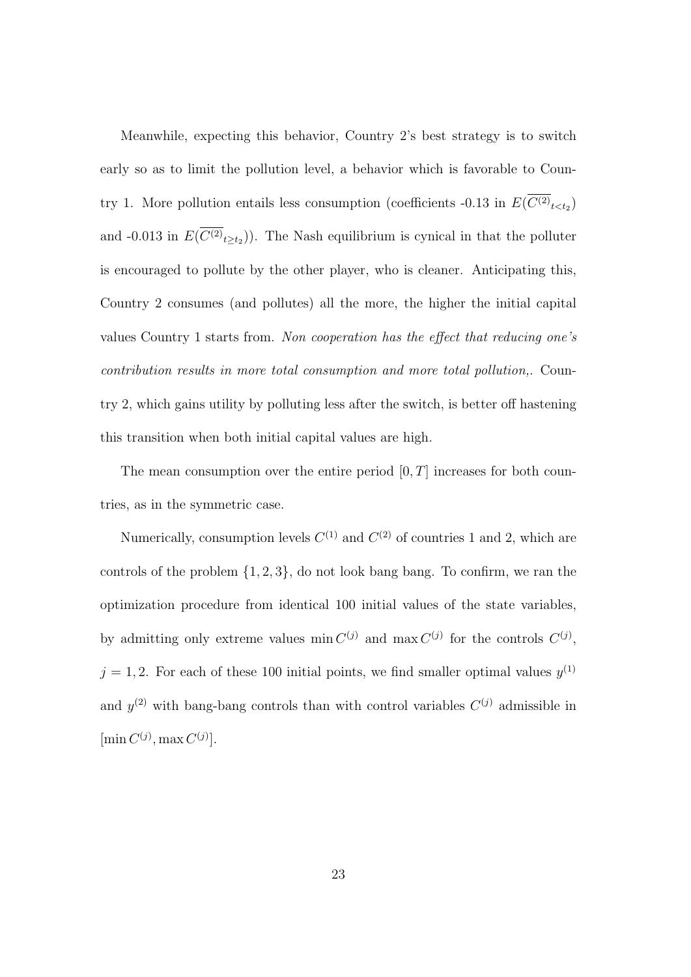Meanwhile, expecting this behavior, Country 2's best strategy is to switch early so as to limit the pollution level, a behavior which is favorable to Country 1. More pollution entails less consumption (coefficients  $-0.13$  in  $E(C^{(2)}_{\phantom{2}t < t_2})$ and -0.013 in  $E(C^{(2)}_{t\geq t_2})$ . The Nash equilibrium is cynical in that the polluter is encouraged to pollute by the other player, who is cleaner. Anticipating this, Country 2 consumes (and pollutes) all the more, the higher the initial capital values Country 1 starts from. Non cooperation has the effect that reducing one's contribution results in more total consumption and more total pollution,. Country 2, which gains utility by polluting less after the switch, is better off hastening this transition when both initial capital values are high.

The mean consumption over the entire period  $[0, T]$  increases for both countries, as in the symmetric case.

Numerically, consumption levels  $C^{(1)}$  and  $C^{(2)}$  of countries 1 and 2, which are controls of the problem  $\{1, 2, 3\}$ , do not look bang bang. To confirm, we ran the optimization procedure from identical 100 initial values of the state variables, by admitting only extreme values  $\min C^{(j)}$  and  $\max C^{(j)}$  for the controls  $C^{(j)}$ ,  $j = 1, 2$ . For each of these 100 initial points, we find smaller optimal values  $y^{(1)}$ and  $y^{(2)}$  with bang-bang controls than with control variables  $C^{(j)}$  admissible in  $[\min C^{(j)}, \max C^{(j)}].$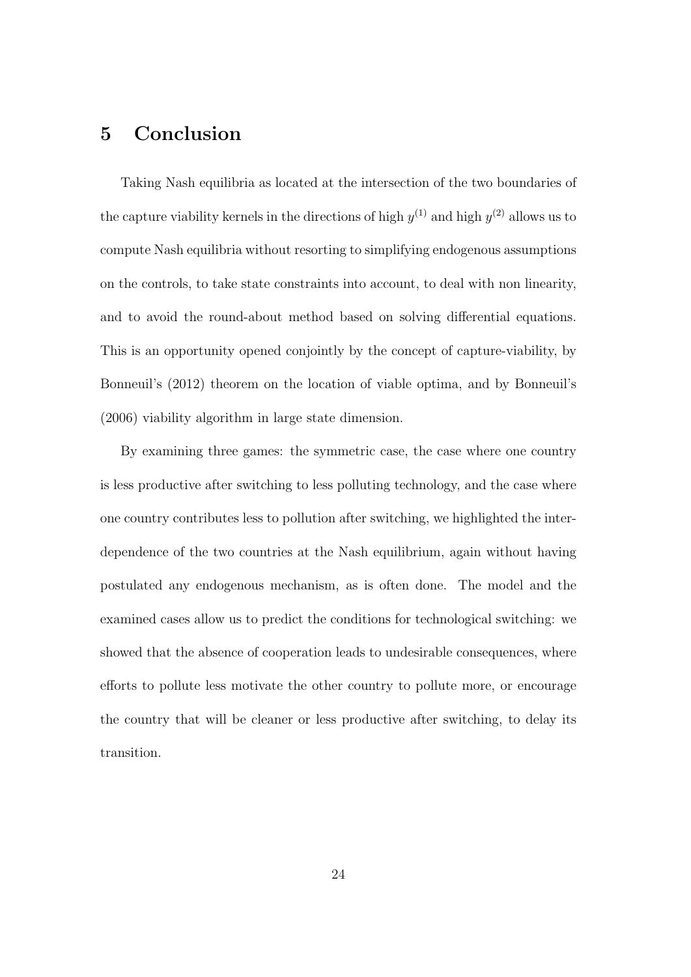# 5 Conclusion

Taking Nash equilibria as located at the intersection of the two boundaries of the capture viability kernels in the directions of high  $y^{(1)}$  and high  $y^{(2)}$  allows us to compute Nash equilibria without resorting to simplifying endogenous assumptions on the controls, to take state constraints into account, to deal with non linearity, and to avoid the round-about method based on solving differential equations. This is an opportunity opened conjointly by the concept of capture-viability, by Bonneuil's (2012) theorem on the location of viable optima, and by Bonneuil's (2006) viability algorithm in large state dimension.

By examining three games: the symmetric case, the case where one country is less productive after switching to less polluting technology, and the case where one country contributes less to pollution after switching, we highlighted the interdependence of the two countries at the Nash equilibrium, again without having postulated any endogenous mechanism, as is often done. The model and the examined cases allow us to predict the conditions for technological switching: we showed that the absence of cooperation leads to undesirable consequences, where efforts to pollute less motivate the other country to pollute more, or encourage the country that will be cleaner or less productive after switching, to delay its transition.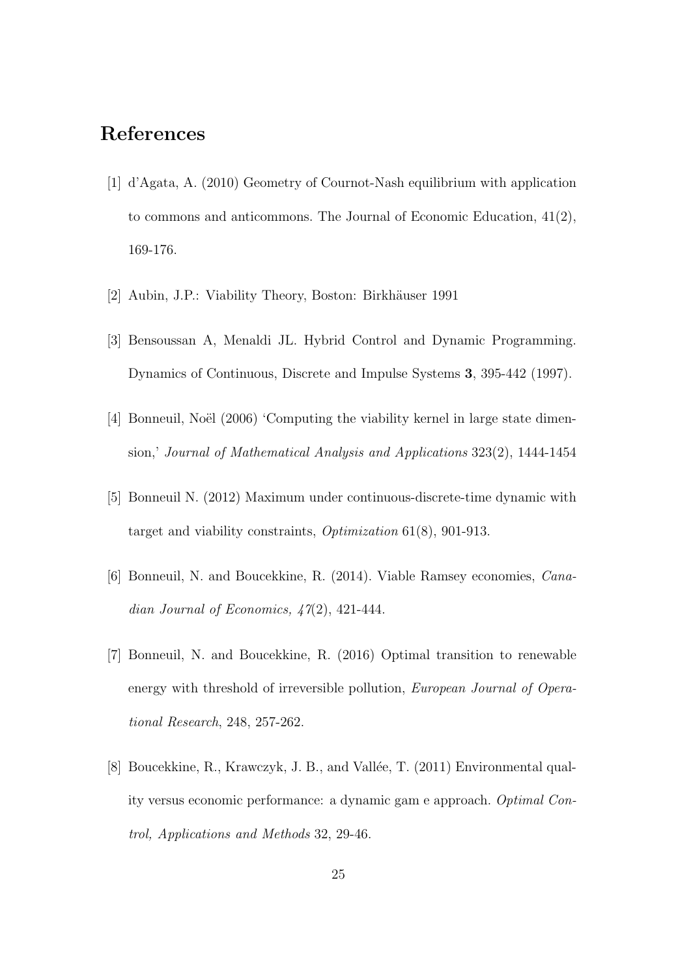## References

- [1] d'Agata, A. (2010) Geometry of Cournot-Nash equilibrium with application to commons and anticommons. The Journal of Economic Education, 41(2), 169-176.
- [2] Aubin, J.P.: Viability Theory, Boston: Birkhäuser 1991
- [3] Bensoussan A, Menaldi JL. Hybrid Control and Dynamic Programming. Dynamics of Continuous, Discrete and Impulse Systems 3, 395-442 (1997).
- [4] Bonneuil, Noël (2006) 'Computing the viability kernel in large state dimension,' Journal of Mathematical Analysis and Applications 323(2), 1444-1454
- [5] Bonneuil N. (2012) Maximum under continuous-discrete-time dynamic with target and viability constraints, Optimization 61(8), 901-913.
- [6] Bonneuil, N. and Boucekkine, R. (2014). Viable Ramsey economies, Canadian Journal of Economics,  $\frac{1}{2}(2)$ , 421-444.
- [7] Bonneuil, N. and Boucekkine, R. (2016) Optimal transition to renewable energy with threshold of irreversible pollution, *European Journal of Opera*tional Research, 248, 257-262.
- [8] Boucekkine, R., Krawczyk, J. B., and Vallée, T. (2011) Environmental quality versus economic performance: a dynamic gam e approach. Optimal Control, Applications and Methods 32, 29-46.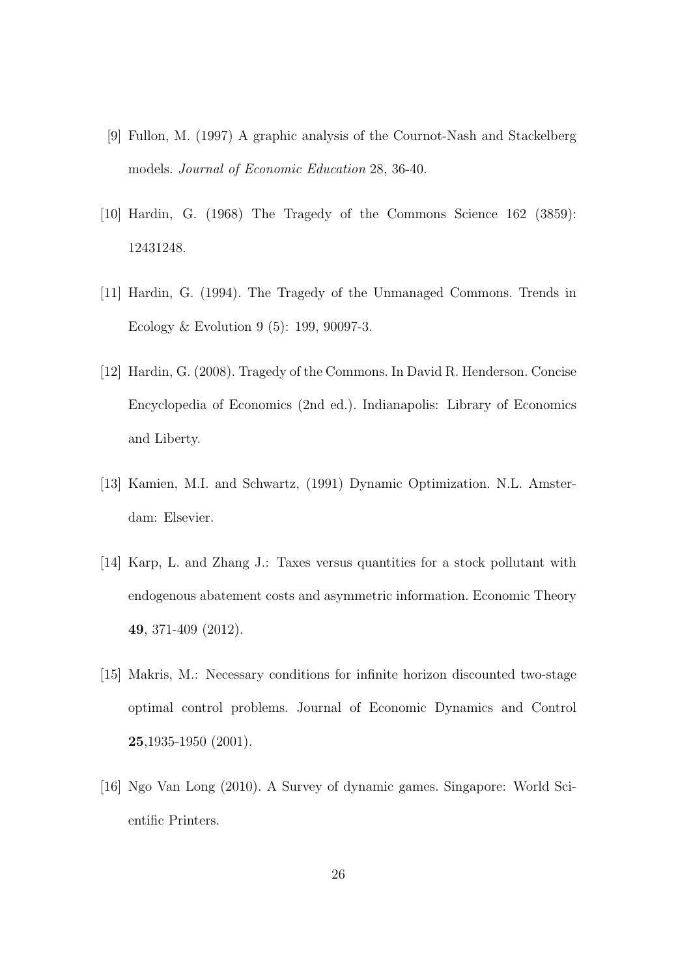- [9] Fullon, M. (1997) A graphic analysis of the Cournot-Nash and Stackelberg models. Journal of Economic Education 28, 36-40.
- [10] Hardin, G. (1968) The Tragedy of the Commons Science 162 (3859): 12431248.
- [11] Hardin, G. (1994). The Tragedy of the Unmanaged Commons. Trends in Ecology & Evolution 9 (5): 199, 90097-3.
- [12] Hardin, G. (2008). Tragedy of the Commons. In David R. Henderson. Concise Encyclopedia of Economics (2nd ed.). Indianapolis: Library of Economics and Liberty.
- [13] Kamien, M.I. and Schwartz, (1991) Dynamic Optimization. N.L. Amsterdam: Elsevier.
- [14] Karp, L. and Zhang J.: Taxes versus quantities for a stock pollutant with endogenous abatement costs and asymmetric information. Economic Theory 49, 371-409 (2012).
- [15] Makris, M.: Necessary conditions for infinite horizon discounted two-stage optimal control problems. Journal of Economic Dynamics and Control 25,1935-1950 (2001).
- [16] Ngo Van Long (2010). A Survey of dynamic games. Singapore: World Scientific Printers.